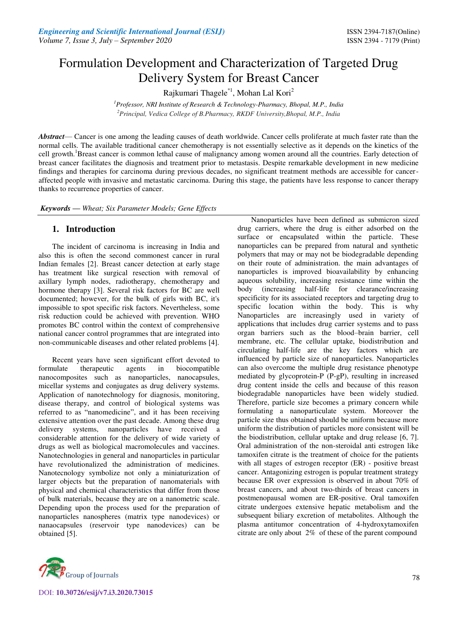# Formulation Development and Characterization of Targeted Drug Delivery System for Breast Cancer

Rajkumari Thagele\*1, Mohan Lal Kori<sup>2</sup>

*<sup>1</sup>Professor, NRI Institute of Research & Technology-Pharmacy, Bhopal, M.P., India <sup>2</sup>Principal, Vedica College of B.Pharmacy, RKDF University,Bhopal, M.P., India*

*Abstract*— Cancer is one among the leading causes of death worldwide. Cancer cells proliferate at much faster rate than the normal cells. The available traditional cancer chemotherapy is not essentially selective as it depends on the kinetics of the cell growth.<sup>1</sup>Breast cancer is common lethal cause of malignancy among women around all the countries. Early detection of breast cancer facilitates the diagnosis and treatment prior to metastasis. Despite remarkable development in new medicine findings and therapies for carcinoma during previous decades, no significant treatment methods are accessible for canceraffected people with invasive and metastatic carcinoma. During this stage, the patients have less response to cancer therapy thanks to recurrence properties of cancer.

*Keywords* **—** *Wheat; Six Parameter Models; Gene Effects* 

## **1. Introduction**

The incident of carcinoma is increasing in India and also this is often the second commonest cancer in rural Indian females [2]. Breast cancer detection at early stage has treatment like surgical resection with removal of axillary lymph nodes, radiotherapy, chemotherapy and hormone therapy [3]. Several risk factors for BC are well documented; however, for the bulk of girls with BC, it's impossible to spot specific risk factors. Nevertheless, some risk reduction could be achieved with prevention. WHO promotes BC control within the context of comprehensive national cancer control programmes that are integrated into non-communicable diseases and other related problems [4].

Recent years have seen significant effort devoted to formulate therapeutic agents in biocompatible nanocomposites such as nanoparticles, nanocapsules, micellar systems and conjugates as drug delivery systems. Application of nanotechnology for diagnosis, monitoring, disease therapy, and control of biological systems was referred to as "nanomedicine", and it has been receiving extensive attention over the past decade. Among these drug delivery systems, nanoparticles have received a considerable attention for the delivery of wide variety of drugs as well as biological macromolecules and vaccines. Nanotechnologies in general and nanoparticles in particular have revolutionalized the administration of medicines. Nanotecnology symbolize not only a miniaturization of larger objects but the preparation of nanomaterials with physical and chemical characteristics that differ from those of bulk materials, because they are on a nanometric scale. Depending upon the process used for the preparation of nanoparticles nanospheres (matrix type nanodevices) or nanaocapsules (reservoir type nanodevices) can be obtained [5].



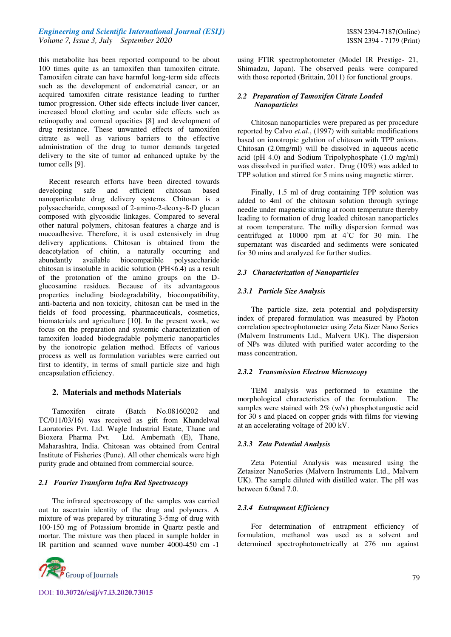## *Engineering and Scientific International Journal (ESIJ)* **ISSN 2394-7187(Online) ISSN 2394-7187(Online)** *Volume 7, Issue 3, July – September 2020* ISSN 2394 - 7179 (Print)

this metabolite has been reported compound to be about 100 times quite as an tamoxifen than tamoxifen citrate. Tamoxifen citrate can have harmful long-term side effects such as the development of endometrial cancer, or an acquired tamoxifen citrate resistance leading to further tumor progression. Other side effects include liver cancer, increased blood clotting and ocular side effects such as retinopathy and corneal opacities [8] and development of drug resistance. These unwanted effects of tamoxifen citrate as well as various barriers to the effective administration of the drug to tumor demands targeted delivery to the site of tumor ad enhanced uptake by the tumor cells [9].

Recent research efforts have been directed towards developing safe and efficient chitosan based nanoparticulate drug delivery systems. Chitosan is a polysaccharide, composed of 2-amino-2-deoxy-ß-D glucan composed with glycosidic linkages. Compared to several other natural polymers, chitosan features a charge and is mucoadhesive. Therefore, it is used extensively in drug delivery applications. Chitosan is obtained from the deacetylation of chitin, a naturally occurring and<br>abundantly available biocompatible polysaccharide abundantly available biocompatible chitosan is insoluble in acidic solution (PH<6.4) as a result of the protonation of the amino groups on the Dglucosamine residues. Because of its advantageous properties including biodegradability, biocompatibility, anti-bacteria and non toxicity, chitosan can be used in the fields of food processing, pharmaceuticals, cosmetics, biomaterials and agriculture [10]. In the present work, we focus on the preparation and systemic characterization of tamoxifen loaded biodegradable polymeric nanoparticles by the ionotropic gelation method. Effects of various process as well as formulation variables were carried out first to identify, in terms of small particle size and high encapsulation efficiency.

## **2. Materials and methods Materials**

Tamoxifen citrate (Batch No.08160202 and TC/011/03/16) was received as gift from Khandelwal Laoratories Pvt. Ltd. Wagle Industrial Estate, Thane and Bioxera Pharma Pvt. Ltd. Ambernath (E), Thane, Maharashtra, India. Chitosan was obtained from Central Institute of Fisheries (Pune). All other chemicals were high purity grade and obtained from commercial source.

## *2.1 Fourier Transform Infra Red Spectroscopy*

The infrared spectroscopy of the samples was carried out to ascertain identity of the drug and polymers. A mixture of was prepared by triturating 3-5mg of drug with 100-150 mg of Potassium bromide in Quartz pestle and mortar. The mixture was then placed in sample holder in IR partition and scanned wave number 4000-450 cm -1



using FTIR spectrophotometer (Model IR Prestige- 21, Shimadzu, Japan). The observed peaks were compared with those reported (Brittain, 2011) for functional groups.

### *2.2 Preparation of Tamoxifen Citrate Loaded Nanoparticles*

Chitosan nanoparticles were prepared as per procedure reported by Calvo *et.al*., (1997) with suitable modifications based on ionotropic gelation of chitosan with TPP anions. Chitosan (2.0mg/ml) will be dissolved in aqueous acetic acid (pH 4.0) and Sodium Tripolyphosphate (1.0 mg/ml) was dissolved in purified water. Drug (10%) was added to TPP solution and stirred for 5 mins using magnetic stirrer.

Finally, 1.5 ml of drug containing TPP solution was added to 4ml of the chitosan solution through syringe needle under magnetic stirring at room temperature thereby leading to formation of drug loaded chitosan nanoparticles at room temperature. The milky dispersion formed was centrifuged at 10000 rpm at 4˚C for 30 min. The supernatant was discarded and sediments were sonicated for 30 mins and analyzed for further studies.

## *2.3 Characterization of Nanoparticles*

## *2.3.1 Particle Size Analysis*

The particle size, zeta potential and polydispersity index of prepared formulation was measured by Photon correlation spectrophotometer using Zeta Sizer Nano Series (Malvern Instruments Ltd., Malvern UK). The dispersion of NPs was diluted with purified water according to the mass concentration.

## *2.3.2 Transmission Electron Microscopy*

TEM analysis was performed to examine the morphological characteristics of the formulation. The samples were stained with  $2\%$  (w/v) phosphotungustic acid for 30 s and placed on copper grids with films for viewing at an accelerating voltage of 200 kV.

#### *2.3.3 Zeta Potential Analysis*

Zeta Potential Analysis was measured using the Zetasizer NanoSeries (Malvern Instruments Ltd., Malvern UK). The sample diluted with distilled water. The pH was between 6.0and 7.0.

## *2.3.4 Entrapment Efficiency*

For determination of entrapment efficiency of formulation, methanol was used as a solvent and determined spectrophotometrically at 276 nm against